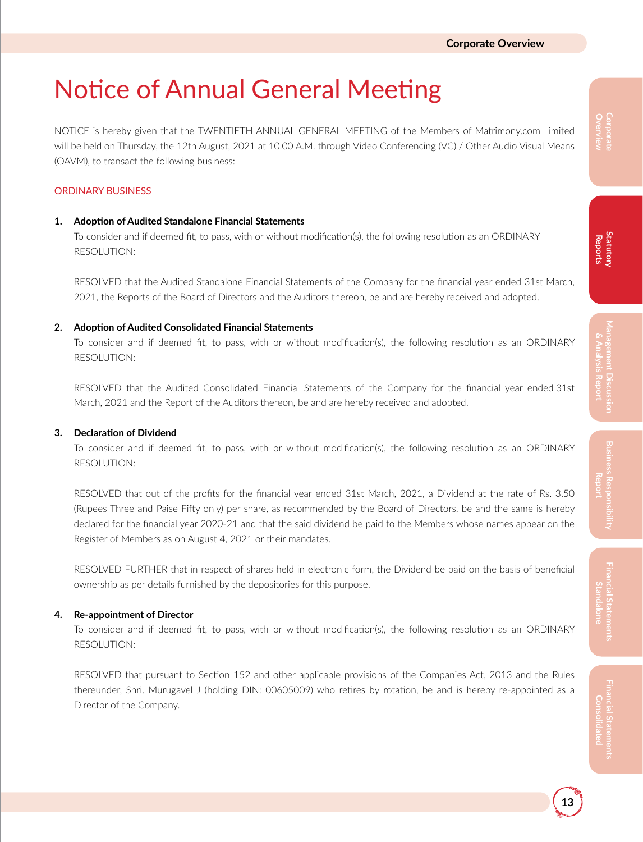# Notice of Annual General Meeting

NOTICE is hereby given that the TWENTIETH ANNUAL GENERAL MEETING of the Members of Matrimony.com Limited will be held on Thursday, the 12th August, 2021 at 10.00 A.M. through Video Conferencing (VC) / Other Audio Visual Means (OAVM), to transact the following business:

#### ORDINARY BUSINESS

#### **1. Adoption of Audited Standalone Financial Statements**

To consider and if deemed fit, to pass, with or without modification(s), the following resolution as an ORDINARY RESOLUTION:

RESOLVED that the Audited Standalone Financial Statements of the Company for the financial year ended 31st March, 2021, the Reports of the Board of Directors and the Auditors thereon, be and are hereby received and adopted.

#### **2. Adoption of Audited Consolidated Financial Statements**

To consider and if deemed fit, to pass, with or without modification(s), the following resolution as an ORDINARY RESOLUTION:

RESOLVED that the Audited Consolidated Financial Statements of the Company for the financial year ended 31st March, 2021 and the Report of the Auditors thereon, be and are hereby received and adopted.

#### **3. Declaration of Dividend**

To consider and if deemed fit, to pass, with or without modification(s), the following resolution as an ORDINARY RESOLUTION:

RESOLVED that out of the profits for the financial year ended 31st March, 2021, a Dividend at the rate of Rs. 3.50 (Rupees Three and Paise Fifty only) per share, as recommended by the Board of Directors, be and the same is hereby declared for the financial year 2020-21 and that the said dividend be paid to the Members whose names appear on the Register of Members as on August 4, 2021 or their mandates.

RESOLVED FURTHER that in respect of shares held in electronic form, the Dividend be paid on the basis of beneficial ownership as per details furnished by the depositories for this purpose.

#### **4. Re-appointment of Director**

To consider and if deemed fit, to pass, with or without modification(s), the following resolution as an ORDINARY RESOLUTION:

RESOLVED that pursuant to Section 152 and other applicable provisions of the Companies Act, 2013 and the Rules thereunder, Shri. Murugavel J (holding DIN: 00605009) who retires by rotation, be and is hereby re-appointed as a Director of the Company.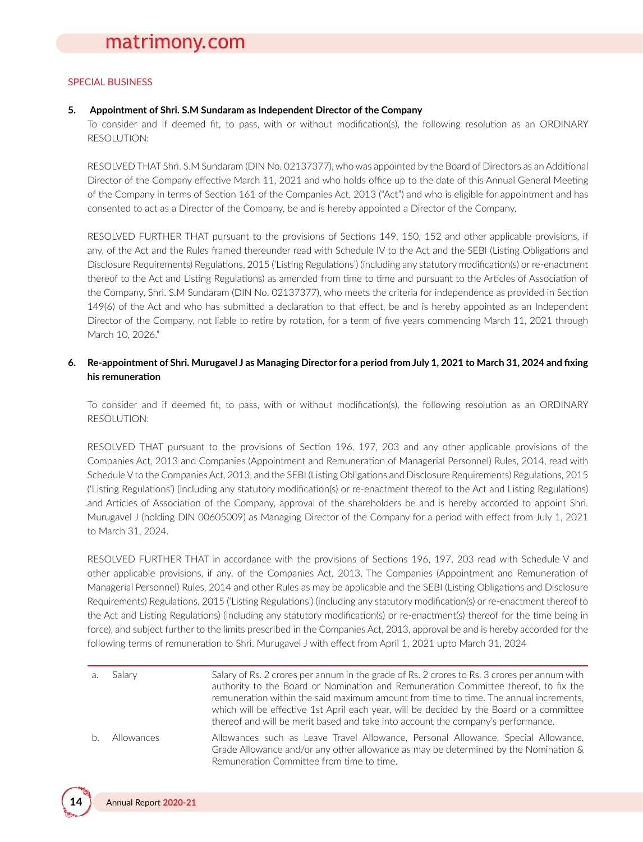#### SPECIAL BUSINESS

#### **5. Appointment of Shri. S.M Sundaram as Independent Director of the Company**

To consider and if deemed fit, to pass, with or without modification(s), the following resolution as an ORDINARY RESOLUTION:

RESOLVED THAT Shri. S.M Sundaram (DIN No. 02137377), who was appointed by the Board of Directors as an Additional Director of the Company effective March 11, 2021 and who holds office up to the date of this Annual General Meeting of the Company in terms of Section 161 of the Companies Act, 2013 ("Act") and who is eligible for appointment and has consented to act as a Director of the Company, be and is hereby appointed a Director of the Company.

RESOLVED FURTHER THAT pursuant to the provisions of Sections 149, 150, 152 and other applicable provisions, if any, of the Act and the Rules framed thereunder read with Schedule IV to the Act and the SEBI (Listing Obligations and Disclosure Requirements) Regulations, 2015 ('Listing Regulations') (including any statutory modification(s) or re-enactment thereof to the Act and Listing Regulations) as amended from time to time and pursuant to the Articles of Association of the Company, Shri. S.M Sundaram (DIN No. 02137377), who meets the criteria for independence as provided in Section 149(6) of the Act and who has submitted a declaration to that effect, be and is hereby appointed as an Independent Director of the Company, not liable to retire by rotation, for a term of five years commencing March 11, 2021 through March 10, 2026."

#### 6. Re-appointment of Shri. Murugavel J as Managing Director for a period from July 1, 2021 to March 31, 2024 and fixing **his remuneration**

To consider and if deemed fit, to pass, with or without modification(s), the following resolution as an ORDINARY RESOLUTION:

RESOLVED THAT pursuant to the provisions of Section 196, 197, 203 and any other applicable provisions of the Companies Act, 2013 and Companies (Appointment and Remuneration of Managerial Personnel) Rules, 2014, read with Schedule V to the Companies Act, 2013, and the SEBI (Listing Obligations and Disclosure Requirements) Regulations, 2015 ('Listing Regulations') (including any statutory modification(s) or re-enactment thereof to the Act and Listing Regulations) and Articles of Association of the Company, approval of the shareholders be and is hereby accorded to appoint Shri. Murugavel J (holding DIN 00605009) as Managing Director of the Company for a period with effect from July 1, 2021 to March 31, 2024.

RESOLVED FURTHER THAT in accordance with the provisions of Sections 196, 197, 203 read with Schedule V and other applicable provisions, if any, of the Companies Act, 2013, The Companies (Appointment and Remuneration of Managerial Personnel) Rules, 2014 and other Rules as may be applicable and the SEBI (Listing Obligations and Disclosure Requirements) Regulations, 2015 ('Listing Regulations') (including any statutory modification(s) or re-enactment thereof to the Act and Listing Regulations) (including any statutory modification(s) or re-enactment(s) thereof for the time being in force), and subject further to the limits prescribed in the Companies Act, 2013, approval be and is hereby accorded for the following terms of remuneration to Shri. Murugavel J with effect from April 1, 2021 upto March 31, 2024

| $\Delta$ | Salarv     | Salary of Rs. 2 crores per annum in the grade of Rs. 2 crores to Rs. 3 crores per annum with<br>authority to the Board or Nomination and Remuneration Committee thereof, to fix the<br>remuneration within the said maximum amount from time to time. The annual increments,<br>which will be effective 1st April each year, will be decided by the Board or a committee<br>thereof and will be merit based and take into account the company's performance. |
|----------|------------|--------------------------------------------------------------------------------------------------------------------------------------------------------------------------------------------------------------------------------------------------------------------------------------------------------------------------------------------------------------------------------------------------------------------------------------------------------------|
| h.       | Allowances | Allowances such as Leave Travel Allowance, Personal Allowance, Special Allowance,<br>Grade Allowance and/or any other allowance as may be determined by the Nomination $\&$<br>Remuneration Committee from time to time.                                                                                                                                                                                                                                     |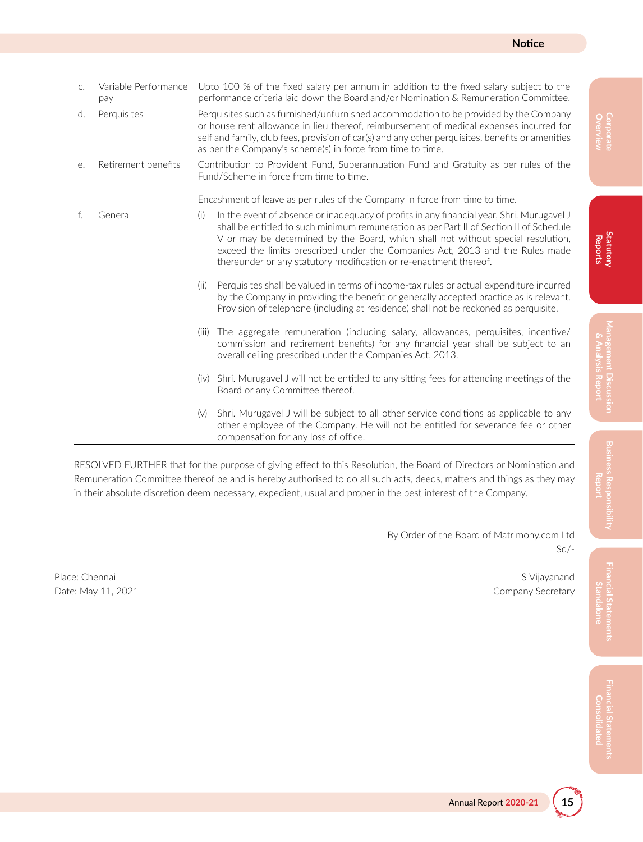pay performance criteria laid down the Board and/or Nomination & Remuneration Committee. d. Perquisites Perquisites such as furnished/unfurnished accommodation to be provided by the Company or house rent allowance in lieu thereof, reimbursement of medical expenses incurred for self and family, club fees, provision of car(s) and any other perquisites, benefits or amenities as per the Company's scheme(s) in force from time to time. e. Retirement benefits Contribution to Provident Fund, Superannuation Fund and Gratuity as per rules of the Fund/Scheme in force from time to time. Encashment of leave as per rules of the Company in force from time to time. f. General (i) In the event of absence or inadequacy of profits in any financial year, Shri. Murugavel J shall be entitled to such minimum remuneration as per Part II of Section II of Schedule V or may be determined by the Board, which shall not without special resolution, exceed the limits prescribed under the Companies Act, 2013 and the Rules made thereunder or any statutory modification or re-enactment thereof. (ii) Perquisites shall be valued in terms of income-tax rules or actual expenditure incurred by the Company in providing the benefit or generally accepted practice as is relevant. Provision of telephone (including at residence) shall not be reckoned as perquisite.

c. Variable Performance Upto 100 % of the fixed salary per annum in addition to the fixed salary subject to the

- (iii) The aggregate remuneration (including salary, allowances, perquisites, incentive/ commission and retirement benefits) for any financial year shall be subject to an overall ceiling prescribed under the Companies Act, 2013.
- (iv) Shri. Murugavel J will not be entitled to any sitting fees for attending meetings of the Board or any Committee thereof.
- (v) Shri. Murugavel J will be subject to all other service conditions as applicable to any other employee of the Company. He will not be entitled for severance fee or other compensation for any loss of office.

RESOLVED FURTHER that for the purpose of giving effect to this Resolution, the Board of Directors or Nomination and Remuneration Committee thereof be and is hereby authorised to do all such acts, deeds, matters and things as they may in their absolute discretion deem necessary, expedient, usual and proper in the best interest of the Company.

> By Order of the Board of Matrimony.com Ltd Sd/-

Place: Chennai S Vijayanand S Vijayanand S Vijayanand S Vijayanand S Vijayanand S Vijayanand S Vijayanand S Vij Date: May 11, 2021 **Company Secretary**  **Overview Corporate**

**Financial Statements Standalone**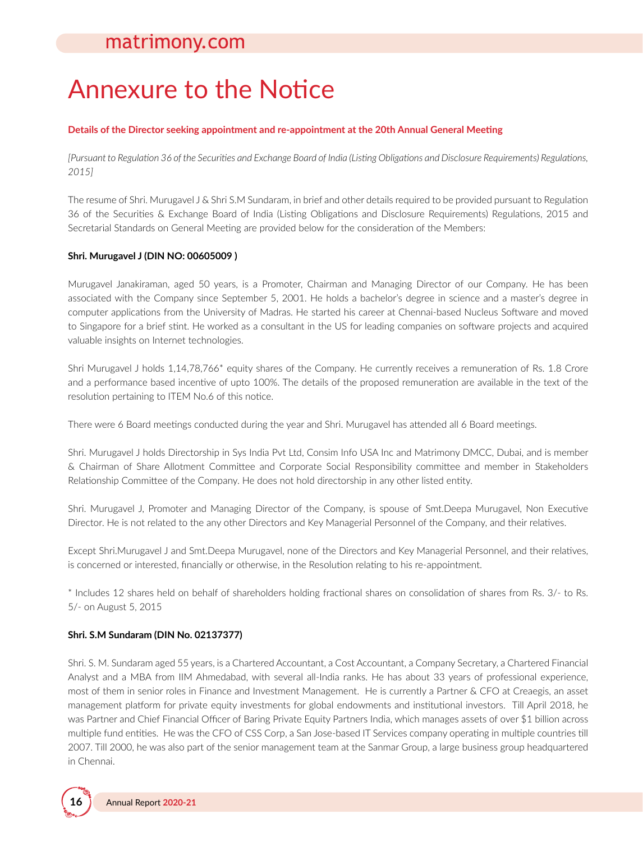# Annexure to the Notice

#### **Details of the Director seeking appointment and re-appointment at the 20th Annual General Meeting**

*[Pursuant to Regulation 36 of the Securities and Exchange Board of India (Listing Obligations and Disclosure Requirements) Regulations, 2015]*

The resume of Shri. Murugavel J & Shri S.M Sundaram, in brief and other details required to be provided pursuant to Regulation 36 of the Securities & Exchange Board of India (Listing Obligations and Disclosure Requirements) Regulations, 2015 and Secretarial Standards on General Meeting are provided below for the consideration of the Members:

#### **Shri. Murugavel J (DIN NO: 00605009 )**

Murugavel Janakiraman, aged 50 years, is a Promoter, Chairman and Managing Director of our Company. He has been associated with the Company since September 5, 2001. He holds a bachelor's degree in science and a master's degree in computer applications from the University of Madras. He started his career at Chennai-based Nucleus Software and moved to Singapore for a brief stint. He worked as a consultant in the US for leading companies on software projects and acquired valuable insights on Internet technologies.

Shri Murugavel J holds 1,14,78,766\* equity shares of the Company. He currently receives a remuneration of Rs. 1.8 Crore and a performance based incentive of upto 100%. The details of the proposed remuneration are available in the text of the resolution pertaining to ITEM No.6 of this notice.

There were 6 Board meetings conducted during the year and Shri. Murugavel has attended all 6 Board meetings.

Shri. Murugavel J holds Directorship in Sys India Pvt Ltd, Consim Info USA Inc and Matrimony DMCC, Dubai, and is member & Chairman of Share Allotment Committee and Corporate Social Responsibility committee and member in Stakeholders Relationship Committee of the Company. He does not hold directorship in any other listed entity.

Shri. Murugavel J, Promoter and Managing Director of the Company, is spouse of Smt.Deepa Murugavel, Non Executive Director. He is not related to the any other Directors and Key Managerial Personnel of the Company, and their relatives.

Except Shri.Murugavel J and Smt.Deepa Murugavel, none of the Directors and Key Managerial Personnel, and their relatives, is concerned or interested, financially or otherwise, in the Resolution relating to his re-appointment.

\* Includes 12 shares held on behalf of shareholders holding fractional shares on consolidation of shares from Rs. 3/- to Rs. 5/- on August 5, 2015

#### **Shri. S.M Sundaram (DIN No. 02137377)**

Shri. S. M. Sundaram aged 55 years, is a Chartered Accountant, a Cost Accountant, a Company Secretary, a Chartered Financial Analyst and a MBA from IIM Ahmedabad, with several all-India ranks. He has about 33 years of professional experience, most of them in senior roles in Finance and Investment Management. He is currently a Partner & CFO at Creaegis, an asset management platform for private equity investments for global endowments and institutional investors. Till April 2018, he was Partner and Chief Financial Officer of Baring Private Equity Partners India, which manages assets of over \$1 billion across multiple fund entities. He was the CFO of CSS Corp, a San Jose-based IT Services company operating in multiple countries till 2007. Till 2000, he was also part of the senior management team at the Sanmar Group, a large business group headquartered in Chennai.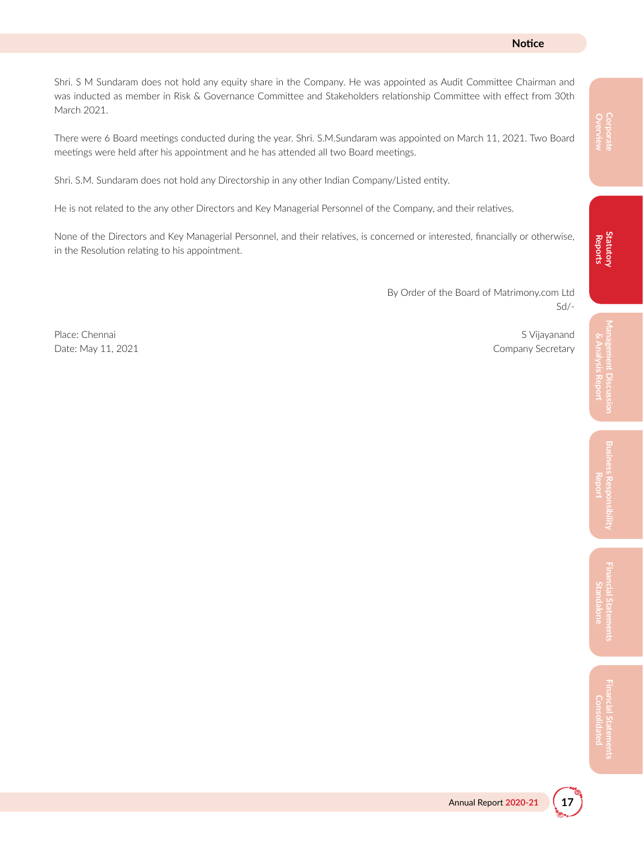#### **Notice**

Shri. S M Sundaram does not hold any equity share in the Company. He was appointed as Audit Committee Chairman and was inducted as member in Risk & Governance Committee and Stakeholders relationship Committee with effect from 30th March 2021.

There were 6 Board meetings conducted during the year. Shri. S.M.Sundaram was appointed on March 11, 2021. Two Board meetings were held after his appointment and he has attended all two Board meetings.

Shri. S.M. Sundaram does not hold any Directorship in any other Indian Company/Listed entity.

He is not related to the any other Directors and Key Managerial Personnel of the Company, and their relatives.

None of the Directors and Key Managerial Personnel, and their relatives, is concerned or interested, financially or otherwise, in the Resolution relating to his appointment.

> By Order of the Board of Matrimony.com Ltd Sd/-

Place: Chennai S Vijayanand S Vijayanand S Vijayanand S Vijayanand S Vijayanand S Vijayanand S Vijayanand S Vijayanand S Vijayanand S Vijayanand S Vijayanand S Vijayanand S Vijayanand S Vijayanand S Vijayanand S Vijayanand

Date: May 11, 2021 Company Secretary

**Financial Statements Consolidated**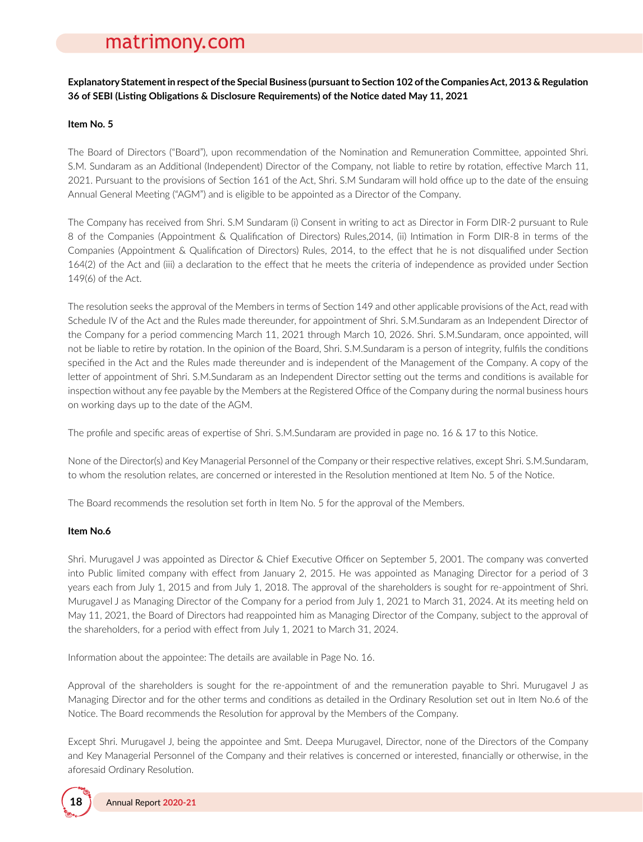**Explanatory Statementin respect ofthe Special Business (pursuantto Section 102 ofthe CompaniesAct, 2013 & Regulation 36 of SEBI (Listing Obligations & Disclosure Requirements) of the Notice dated May 11, 2021**

#### **Item No. 5**

The Board of Directors ("Board"), upon recommendation of the Nomination and Remuneration Committee, appointed Shri. S.M. Sundaram as an Additional (Independent) Director of the Company, not liable to retire by rotation, effective March 11, 2021. Pursuant to the provisions of Section 161 of the Act, Shri. S.M Sundaram will hold office up to the date of the ensuing Annual General Meeting ("AGM") and is eligible to be appointed as a Director of the Company.

The Company has received from Shri. S.M Sundaram (i) Consent in writing to act as Director in Form DIR-2 pursuant to Rule 8 of the Companies (Appointment & Qualification of Directors) Rules,2014, (ii) Intimation in Form DIR-8 in terms of the Companies (Appointment & Qualification of Directors) Rules, 2014, to the effect that he is not disqualified under Section 164(2) of the Act and (iii) a declaration to the effect that he meets the criteria of independence as provided under Section 149(6) of the Act.

The resolution seeks the approval of the Members in terms of Section 149 and other applicable provisions of the Act, read with Schedule IV of the Act and the Rules made thereunder, for appointment of Shri. S.M.Sundaram as an Independent Director of the Company for a period commencing March 11, 2021 through March 10, 2026. Shri. S.M.Sundaram, once appointed, will not be liable to retire by rotation. In the opinion of the Board, Shri. S.M.Sundaram is a person of integrity, fulfils the conditions specified in the Act and the Rules made thereunder and is independent of the Management of the Company. A copy of the letter of appointment of Shri. S.M.Sundaram as an Independent Director setting out the terms and conditions is available for inspection without any fee payable by the Members at the Registered Office of the Company during the normal business hours on working days up to the date of the AGM.

The profile and specific areas of expertise of Shri. S.M.Sundaram are provided in page no. 16 & 17 to this Notice.

None of the Director(s) and Key Managerial Personnel of the Company or their respective relatives, except Shri. S.M.Sundaram, to whom the resolution relates, are concerned or interested in the Resolution mentioned at Item No. 5 of the Notice.

The Board recommends the resolution set forth in Item No. 5 for the approval of the Members.

#### **Item No.6**

Shri. Murugavel J was appointed as Director & Chief Executive Officer on September 5, 2001. The company was converted into Public limited company with effect from January 2, 2015. He was appointed as Managing Director for a period of 3 years each from July 1, 2015 and from July 1, 2018. The approval of the shareholders is sought for re-appointment of Shri. Murugavel J as Managing Director of the Company for a period from July 1, 2021 to March 31, 2024. At its meeting held on May 11, 2021, the Board of Directors had reappointed him as Managing Director of the Company, subject to the approval of the shareholders, for a period with effect from July 1, 2021 to March 31, 2024.

Information about the appointee: The details are available in Page No. 16.

Approval of the shareholders is sought for the re-appointment of and the remuneration payable to Shri. Murugavel J as Managing Director and for the other terms and conditions as detailed in the Ordinary Resolution set out in Item No.6 of the Notice. The Board recommends the Resolution for approval by the Members of the Company.

Except Shri. Murugavel J, being the appointee and Smt. Deepa Murugavel, Director, none of the Directors of the Company and Key Managerial Personnel of the Company and their relatives is concerned or interested, financially or otherwise, in the aforesaid Ordinary Resolution.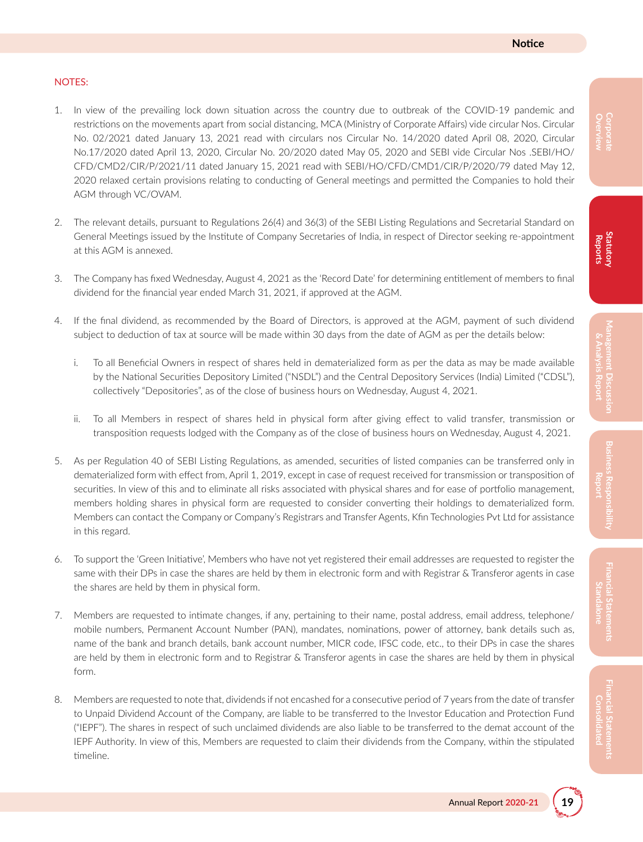#### NOTES:

- 1. In view of the prevailing lock down situation across the country due to outbreak of the COVID-19 pandemic and restrictions on the movements apart from social distancing, MCA (Ministry of Corporate Affairs) vide circular Nos. Circular No. 02/2021 dated January 13, 2021 read with circulars nos Circular No. 14/2020 dated April 08, 2020, Circular No.17/2020 dated April 13, 2020, Circular No. 20/2020 dated May 05, 2020 and SEBI vide Circular Nos .SEBI/HO/ CFD/CMD2/CIR/P/2021/11 dated January 15, 2021 read with SEBI/HO/CFD/CMD1/CIR/P/2020/79 dated May 12, 2020 relaxed certain provisions relating to conducting of General meetings and permitted the Companies to hold their AGM through VC/OVAM.
- 2. The relevant details, pursuant to Regulations 26(4) and 36(3) of the SEBI Listing Regulations and Secretarial Standard on General Meetings issued by the Institute of Company Secretaries of India, in respect of Director seeking re-appointment at this AGM is annexed.
- 3. The Company has fixed Wednesday, August 4, 2021 as the 'Record Date' for determining entitlement of members to final dividend for the financial year ended March 31, 2021, if approved at the AGM.
- 4. If the final dividend, as recommended by the Board of Directors, is approved at the AGM, payment of such dividend subject to deduction of tax at source will be made within 30 days from the date of AGM as per the details below:
	- i. To all Beneficial Owners in respect of shares held in dematerialized form as per the data as may be made available by the National Securities Depository Limited ("NSDL") and the Central Depository Services (India) Limited ("CDSL"), collectively "Depositories", as of the close of business hours on Wednesday, August 4, 2021.
	- ii. To all Members in respect of shares held in physical form after giving effect to valid transfer, transmission or transposition requests lodged with the Company as of the close of business hours on Wednesday, August 4, 2021.
- 5. As per Regulation 40 of SEBI Listing Regulations, as amended, securities of listed companies can be transferred only in dematerialized form with effect from, April 1, 2019, except in case of request received for transmission or transposition of securities. In view of this and to eliminate all risks associated with physical shares and for ease of portfolio management, members holding shares in physical form are requested to consider converting their holdings to dematerialized form. Members can contact the Company or Company's Registrars and Transfer Agents, Kfin Technologies Pvt Ltd for assistance in this regard.
- 6. To support the 'Green Initiative', Members who have not yet registered their email addresses are requested to register the same with their DPs in case the shares are held by them in electronic form and with Registrar & Transferor agents in case the shares are held by them in physical form.
- 7. Members are requested to intimate changes, if any, pertaining to their name, postal address, email address, telephone/ mobile numbers, Permanent Account Number (PAN), mandates, nominations, power of attorney, bank details such as, name of the bank and branch details, bank account number, MICR code, IFSC code, etc., to their DPs in case the shares are held by them in electronic form and to Registrar & Transferor agents in case the shares are held by them in physical form.
- 8. Members are requested to note that, dividends if not encashed for a consecutive period of 7 years from the date of transfer to Unpaid Dividend Account of the Company, are liable to be transferred to the Investor Education and Protection Fund ("IEPF"). The shares in respect of such unclaimed dividends are also liable to be transferred to the demat account of the IEPF Authority. In view of this, Members are requested to claim their dividends from the Company, within the stipulated timeline.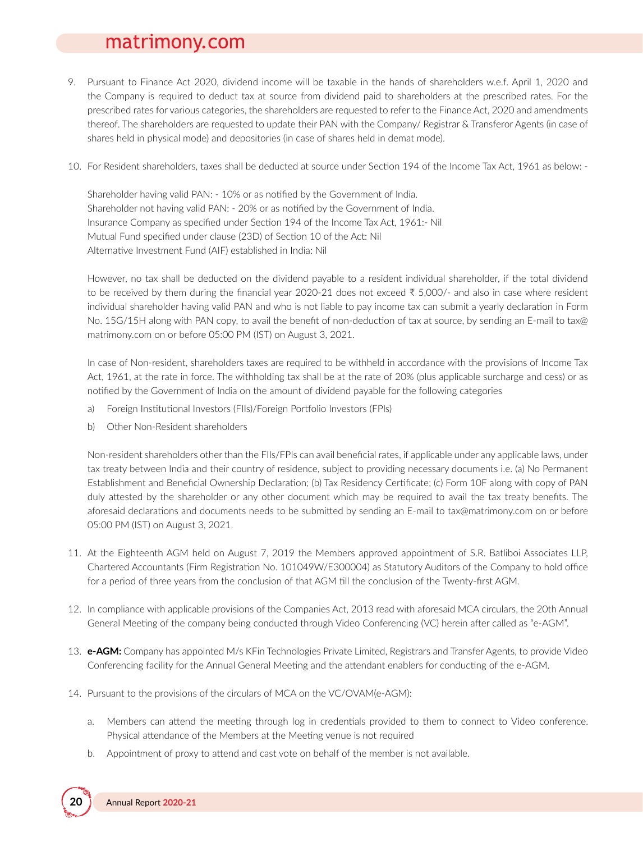- 9. Pursuant to Finance Act 2020, dividend income will be taxable in the hands of shareholders w.e.f. April 1, 2020 and the Company is required to deduct tax at source from dividend paid to shareholders at the prescribed rates. For the prescribed rates for various categories, the shareholders are requested to refer to the Finance Act, 2020 and amendments thereof. The shareholders are requested to update their PAN with the Company/ Registrar & Transferor Agents (in case of shares held in physical mode) and depositories (in case of shares held in demat mode).
- 10. For Resident shareholders, taxes shall be deducted at source under Section 194 of the Income Tax Act, 1961 as below: -

Shareholder having valid PAN: - 10% or as notified by the Government of India. Shareholder not having valid PAN: - 20% or as notified by the Government of India. Insurance Company as specified under Section 194 of the Income Tax Act, 1961:- Nil Mutual Fund specified under clause (23D) of Section 10 of the Act: Nil Alternative Investment Fund (AIF) established in India: Nil

However, no tax shall be deducted on the dividend payable to a resident individual shareholder, if the total dividend to be received by them during the financial year 2020-21 does not exceed ₹ 5,000/- and also in case where resident individual shareholder having valid PAN and who is not liable to pay income tax can submit a yearly declaration in Form No. 15G/15H along with PAN copy, to avail the benefit of non-deduction of tax at source, by sending an E-mail to tax@ matrimony.com on or before 05:00 PM (IST) on August 3, 2021.

In case of Non-resident, shareholders taxes are required to be withheld in accordance with the provisions of Income Tax Act, 1961, at the rate in force. The withholding tax shall be at the rate of 20% (plus applicable surcharge and cess) or as notified by the Government of India on the amount of dividend payable for the following categories

- a) Foreign Institutional Investors (FIIs)/Foreign Portfolio Investors (FPIs)
- b) Other Non-Resident shareholders

Non-resident shareholders other than the FIIs/FPIs can avail beneficial rates, if applicable under any applicable laws, under tax treaty between India and their country of residence, subject to providing necessary documents i.e. (a) No Permanent Establishment and Beneficial Ownership Declaration; (b) Tax Residency Certificate; (c) Form 10F along with copy of PAN duly attested by the shareholder or any other document which may be required to avail the tax treaty benefits. The aforesaid declarations and documents needs to be submitted by sending an E-mail to tax@matrimony.com on or before 05:00 PM (IST) on August 3, 2021.

- 11. At the Eighteenth AGM held on August 7, 2019 the Members approved appointment of S.R. Batliboi Associates LLP, Chartered Accountants (Firm Registration No. 101049W/E300004) as Statutory Auditors of the Company to hold office for a period of three years from the conclusion of that AGM till the conclusion of the Twenty-first AGM.
- 12. In compliance with applicable provisions of the Companies Act, 2013 read with aforesaid MCA circulars, the 20th Annual General Meeting of the company being conducted through Video Conferencing (VC) herein after called as "e-AGM".
- 13. **e-AGM:** Company has appointed M/s KFin Technologies Private Limited, Registrars and Transfer Agents, to provide Video Conferencing facility for the Annual General Meeting and the attendant enablers for conducting of the e-AGM.
- 14. Pursuant to the provisions of the circulars of MCA on the VC/OVAM(e-AGM):
	- a. Members can attend the meeting through log in credentials provided to them to connect to Video conference. Physical attendance of the Members at the Meeting venue is not required
	- b. Appointment of proxy to attend and cast vote on behalf of the member is not available.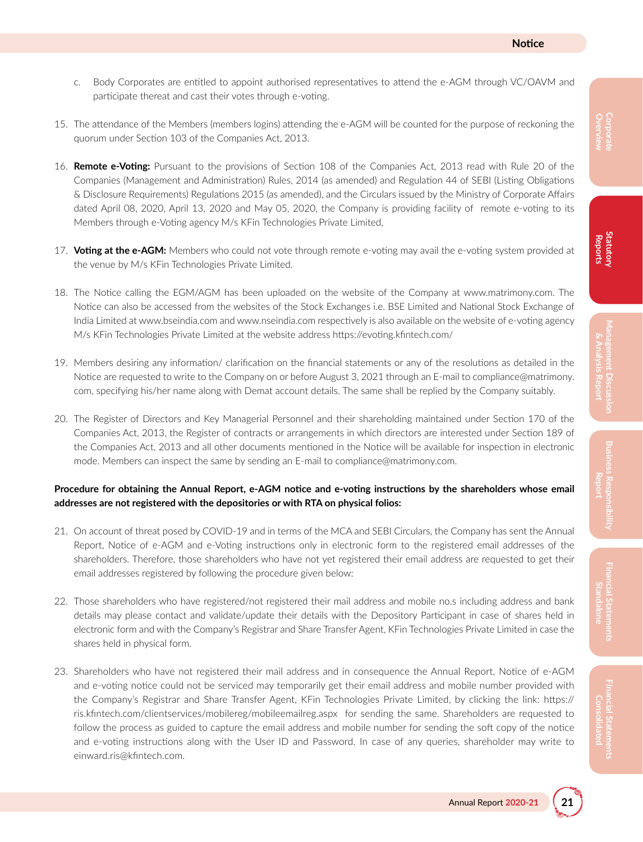- c. Body Corporates are entitled to appoint authorised representatives to attend the e-AGM through VC/OAVM and participate thereat and cast their votes through e-voting.
- 15. The attendance of the Members (members logins) attending the e-AGM will be counted for the purpose of reckoning the quorum under Section 103 of the Companies Act, 2013.
- 16. **Remote e-Voting:** Pursuant to the provisions of Section 108 of the Companies Act, 2013 read with Rule 20 of the Companies (Management and Administration) Rules, 2014 (as amended) and Regulation 44 of SEBI (Listing Obligations & Disclosure Requirements) Regulations 2015 (as amended), and the Circulars issued by the Ministry of Corporate Affairs dated April 08, 2020, April 13, 2020 and May 05, 2020, the Company is providing facility of remote e-voting to its Members through e-Voting agency M/s KFin Technologies Private Limited,
- 17. **Voting at the e-AGM:** Members who could not vote through remote e-voting may avail the e-voting system provided at the venue by M/s KFin Technologies Private Limited.
- 18. The Notice calling the EGM/AGM has been uploaded on the website of the Company at www.matrimony.com. The Notice can also be accessed from the websites of the Stock Exchanges i.e. BSE Limited and National Stock Exchange of India Limited at www.bseindia.com and www.nseindia.com respectively is also available on the website of e-voting agency M/s KFin Technologies Private Limited at the website address https://evoting.kfintech.com/
- 19. Members desiring any information/ clarification on the financial statements or any of the resolutions as detailed in the Notice are requested to write to the Company on or before August 3, 2021 through an E-mail to compliance@matrimony. com, specifying his/her name along with Demat account details. The same shall be replied by the Company suitably.
- 20. The Register of Directors and Key Managerial Personnel and their shareholding maintained under Section 170 of the Companies Act, 2013, the Register of contracts or arrangements in which directors are interested under Section 189 of the Companies Act, 2013 and all other documents mentioned in the Notice will be available for inspection in electronic mode. Members can inspect the same by sending an E-mail to compliance@matrimony.com.

#### Procedure for obtaining the Annual Report, e-AGM notice and e-voting instructions by the shareholders whose email **addresses are not registered with the depositories or with RTA on physical folios:**

- 21. On account of threat posed by COVID-19 and in terms of the MCA and SEBI Circulars, the Company has sent the Annual Report, Notice of e-AGM and e-Voting instructions only in electronic form to the registered email addresses of the shareholders. Therefore, those shareholders who have not yet registered their email address are requested to get their email addresses registered by following the procedure given below:
- 22. Those shareholders who have registered/not registered their mail address and mobile no.s including address and bank details may please contact and validate/update their details with the Depository Participant in case of shares held in electronic form and with the Company's Registrar and Share Transfer Agent, KFin Technologies Private Limited in case the shares held in physical form.
- 23. Shareholders who have not registered their mail address and in consequence the Annual Report, Notice of e-AGM and e-voting notice could not be serviced may temporarily get their email address and mobile number provided with the Company's Registrar and Share Transfer Agent, KFin Technologies Private Limited, by clicking the link: https:// ris.kfintech.com/clientservices/mobilereg/mobileemailreg.aspx for sending the same. Shareholders are requested to follow the process as guided to capture the email address and mobile number for sending the soft copy of the notice and e-voting instructions along with the User ID and Password. In case of any queries, shareholder may write to einward.ris@kfintech.com.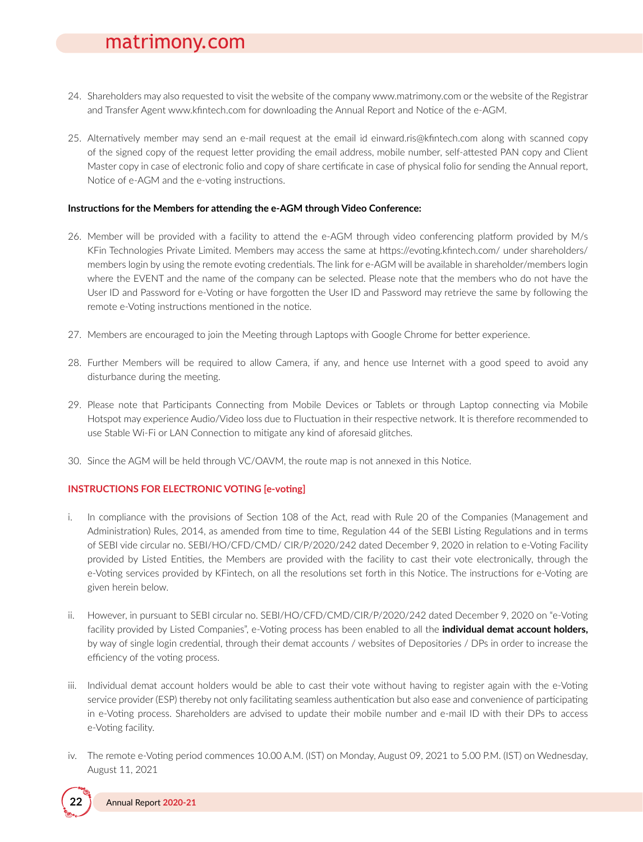- 24. Shareholders may also requested to visit the website of the company www.matrimony.com or the website of the Registrar and Transfer Agent www.kfintech.com for downloading the Annual Report and Notice of the e-AGM.
- 25. Alternatively member may send an e-mail request at the email id einward.ris@kfintech.com along with scanned copy of the signed copy of the request letter providing the email address, mobile number, self-attested PAN copy and Client Master copy in case of electronic folio and copy of share certificate in case of physical folio for sending the Annual report, Notice of e-AGM and the e-voting instructions.

#### **Instructions for the Members for attending the e-AGM through Video Conference:**

- 26. Member will be provided with a facility to attend the e-AGM through video conferencing platform provided by M/s KFin Technologies Private Limited. Members may access the same at https://evoting.kfintech.com/ under shareholders/ members login by using the remote evoting credentials. The link for e-AGM will be available in shareholder/members login where the EVENT and the name of the company can be selected. Please note that the members who do not have the User ID and Password for e-Voting or have forgotten the User ID and Password may retrieve the same by following the remote e-Voting instructions mentioned in the notice.
- 27. Members are encouraged to join the Meeting through Laptops with Google Chrome for better experience.
- 28. Further Members will be required to allow Camera, if any, and hence use Internet with a good speed to avoid any disturbance during the meeting.
- 29. Please note that Participants Connecting from Mobile Devices or Tablets or through Laptop connecting via Mobile Hotspot may experience Audio/Video loss due to Fluctuation in their respective network. It is therefore recommended to use Stable Wi-Fi or LAN Connection to mitigate any kind of aforesaid glitches.
- 30. Since the AGM will be held through VC/OAVM, the route map is not annexed in this Notice.

#### **INSTRUCTIONS FOR ELECTRONIC VOTING [e-voting]**

- i. In compliance with the provisions of Section 108 of the Act, read with Rule 20 of the Companies (Management and Administration) Rules, 2014, as amended from time to time, Regulation 44 of the SEBI Listing Regulations and in terms of SEBI vide circular no. SEBI/HO/CFD/CMD/ CIR/P/2020/242 dated December 9, 2020 in relation to e-Voting Facility provided by Listed Entities, the Members are provided with the facility to cast their vote electronically, through the e-Voting services provided by KFintech, on all the resolutions set forth in this Notice. The instructions for e-Voting are given herein below.
- ii. However, in pursuant to SEBI circular no. SEBI/HO/CFD/CMD/CIR/P/2020/242 dated December 9, 2020 on "e-Voting facility provided by Listed Companies", e-Voting process has been enabled to all the **individual demat account holders,** by way of single login credential, through their demat accounts / websites of Depositories / DPs in order to increase the efficiency of the voting process.
- iii. Individual demat account holders would be able to cast their vote without having to register again with the e-Voting service provider (ESP) thereby not only facilitating seamless authentication but also ease and convenience of participating in e-Voting process. Shareholders are advised to update their mobile number and e-mail ID with their DPs to access e-Voting facility.
- iv. The remote e-Voting period commences 10.00 A.M. (IST) on Monday, August 09, 2021 to 5.00 P.M. (IST) on Wednesday, August 11, 2021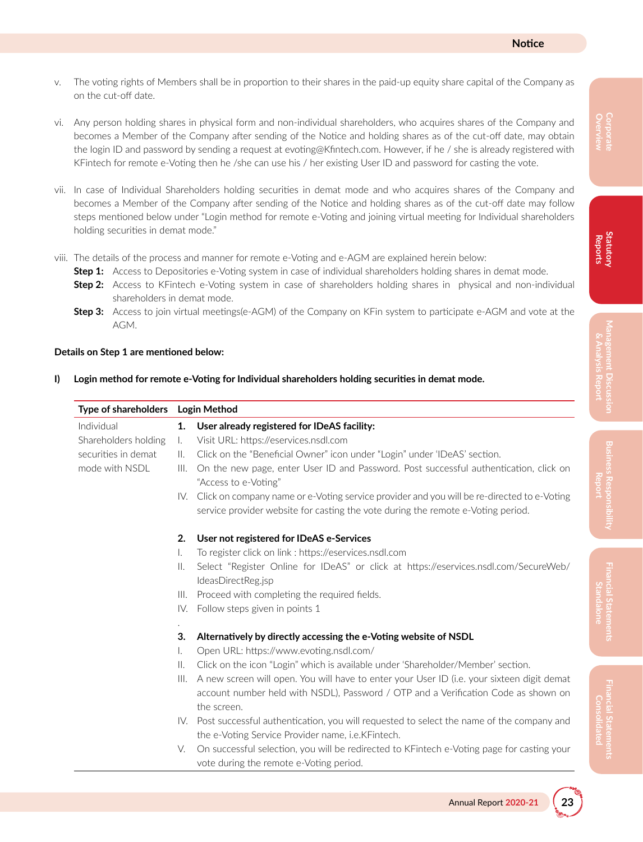- v. The voting rights of Members shall be in proportion to their shares in the paid-up equity share capital of the Company as on the cut-off date.
- vi. Any person holding shares in physical form and non-individual shareholders, who acquires shares of the Company and becomes a Member of the Company after sending of the Notice and holding shares as of the cut-off date, may obtain the login ID and password by sending a request at evoting@Kfintech.com. However, if he / she is already registered with KFintech for remote e-Voting then he /she can use his / her existing User ID and password for casting the vote.
- vii. In case of Individual Shareholders holding securities in demat mode and who acquires shares of the Company and becomes a Member of the Company after sending of the Notice and holding shares as of the cut-off date may follow steps mentioned below under "Login method for remote e-Voting and joining virtual meeting for Individual shareholders holding securities in demat mode."
- viii. The details of the process and manner for remote e-Voting and e-AGM are explained herein below:
	- **Step 1:** Access to Depositories e-Voting system in case of individual shareholders holding shares in demat mode.
	- **Step 2:** Access to KFintech e-Voting system in case of shareholders holding shares in physical and non-individual shareholders in demat mode.
	- **Step 3:** Access to join virtual meetings(e-AGM) of the Company on KFin system to participate e-AGM and vote at the AGM.

#### **Details on Step 1 are mentioned below:**

|  |  |  |  | I) Login method for remote e-Voting for Individual shareholders holding securities in demat mode. |
|--|--|--|--|---------------------------------------------------------------------------------------------------|
|--|--|--|--|---------------------------------------------------------------------------------------------------|

| Type of shareholders |                | <b>Login Method</b>                                                                                           |
|----------------------|----------------|---------------------------------------------------------------------------------------------------------------|
| Individual           | 1.             | User already registered for IDeAS facility:                                                                   |
| Shareholders holding | $\mathbf{L}$   | Visit URL: https://eservices.nsdl.com                                                                         |
| securities in demat  | $\parallel$ .  | Click on the "Beneficial Owner" icon under "Login" under 'IDeAS' section.                                     |
| mode with NSDL       | III.           | On the new page, enter User ID and Password. Post successful authentication, click on<br>"Access to e-Voting" |
|                      |                | IV. Click on company name or e-Voting service provider and you will be re-directed to e-Voting                |
|                      |                | service provider website for casting the vote during the remote e-Voting period.                              |
|                      | 2.             | User not registered for IDeAS e-Services                                                                      |
|                      | I.             | To register click on link : https://eservices.nsdl.com                                                        |
|                      | $\mathbb{H}$ . | Select "Register Online for IDeAS" or click at https://eservices.nsdl.com/SecureWeb/<br>IdeasDirectReg.jsp    |
|                      | III.           | Proceed with completing the required fields.                                                                  |
|                      | IV.            | Follow steps given in points 1                                                                                |
|                      | 3.             | Alternatively by directly accessing the e-Voting website of NSDL                                              |
|                      | I.             | Open URL: https://www.evoting.nsdl.com/                                                                       |
|                      | $\mathbb{I}$ . | Click on the icon "Login" which is available under 'Shareholder/Member' section.                              |
|                      | III.           | A new screen will open. You will have to enter your User ID (i.e. your sixteen digit demat                    |
|                      |                | account number held with NSDL), Password / OTP and a Verification Code as shown on                            |
|                      |                | the screen.                                                                                                   |
|                      |                | IV. Post successful authentication, you will requested to select the name of the company and                  |
|                      |                | the e-Voting Service Provider name, i.e.KFintech.                                                             |
|                      | V.             | On successful selection, you will be redirected to KFintech e-Voting page for casting your                    |
|                      |                | vote during the remote e-Voting period.                                                                       |

## **Overview Corporate**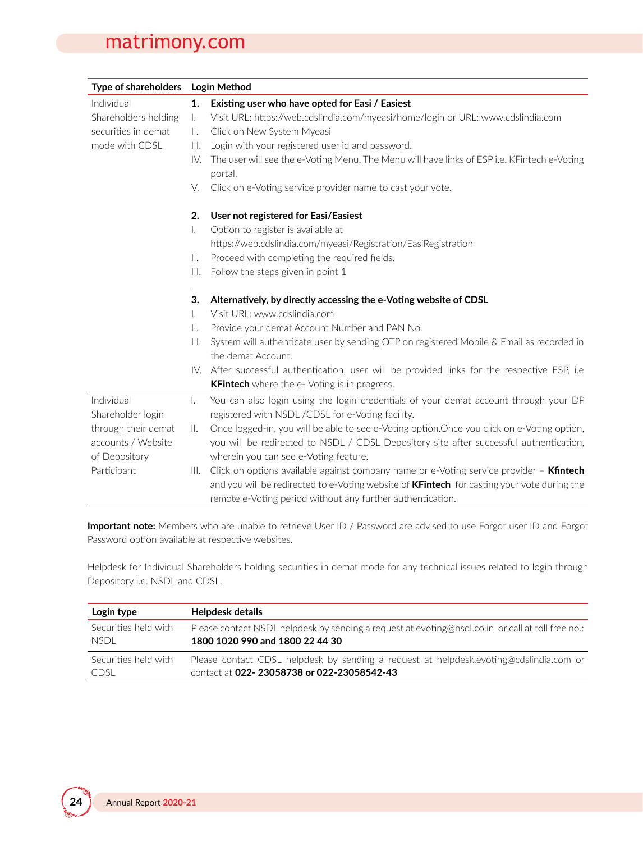| Type of shareholders |                | Login Method                                                                                           |  |  |
|----------------------|----------------|--------------------------------------------------------------------------------------------------------|--|--|
| Individual           | 1.             | Existing user who have opted for Easi / Easiest                                                        |  |  |
| Shareholders holding | Ι.             | Visit URL: https://web.cdslindia.com/myeasi/home/login or URL: www.cdslindia.com                       |  |  |
| securities in demat  | Ш.             | Click on New System Myeasi                                                                             |  |  |
| mode with CDSL       | III.           | Login with your registered user id and password.                                                       |  |  |
|                      | IV.            | The user will see the e-Voting Menu. The Menu will have links of ESP i.e. KFintech e-Voting<br>portal. |  |  |
|                      | V.             | Click on e-Voting service provider name to cast your vote.                                             |  |  |
|                      | 2.             | User not registered for Easi/Easiest                                                                   |  |  |
|                      | I.             | Option to register is available at                                                                     |  |  |
|                      |                | https://web.cdslindia.com/myeasi/Registration/EasiRegistration                                         |  |  |
|                      | $\parallel$ .  | Proceed with completing the required fields.                                                           |  |  |
|                      | III.           | Follow the steps given in point 1                                                                      |  |  |
|                      |                |                                                                                                        |  |  |
|                      | 3.             | Alternatively, by directly accessing the e-Voting website of CDSL                                      |  |  |
|                      | I.             | Visit URL: www.cdslindia.com                                                                           |  |  |
|                      | $\mathbb{I}$ . | Provide your demat Account Number and PAN No.                                                          |  |  |
|                      | III.           | System will authenticate user by sending OTP on registered Mobile & Email as recorded in               |  |  |
|                      |                | the demat Account.                                                                                     |  |  |
|                      |                | IV. After successful authentication, user will be provided links for the respective ESP, i.e.          |  |  |
|                      |                | <b>KFintech</b> where the e- Voting is in progress.                                                    |  |  |
| Individual           | I.             | You can also login using the login credentials of your demat account through your DP                   |  |  |
| Shareholder login    |                | registered with NSDL /CDSL for e-Voting facility.                                                      |  |  |
| through their demat  | II.            | Once logged-in, you will be able to see e-Voting option.Once you click on e-Voting option,             |  |  |
| accounts / Website   |                | you will be redirected to NSDL / CDSL Depository site after successful authentication,                 |  |  |
| of Depository        |                | wherein you can see e-Voting feature.                                                                  |  |  |
| Participant          | III.           | Click on options available against company name or e-Voting service provider - Kfintech                |  |  |
|                      |                | and you will be redirected to e-Voting website of <b>KFintech</b> for casting your vote during the     |  |  |
|                      |                | remote e-Voting period without any further authentication.                                             |  |  |

**Important note:** Members who are unable to retrieve User ID / Password are advised to use Forgot user ID and Forgot Password option available at respective websites.

Helpdesk for Individual Shareholders holding securities in demat mode for any technical issues related to login through Depository i.e. NSDL and CDSL.

| Login type           | Helpdesk details                                                                                  |
|----------------------|---------------------------------------------------------------------------------------------------|
| Securities held with | Please contact NSDL helpdesk by sending a request at evoting@nsdl.co.in or call at toll free no.: |
| <b>NSDL</b>          | 1800 1020 990 and 1800 22 44 30                                                                   |
| Securities held with | Please contact CDSL helpdesk by sending a request at helpdesk.evoting@cdslindia.com or            |
| <b>CDSL</b>          | contact at 022-23058738 or 022-23058542-43                                                        |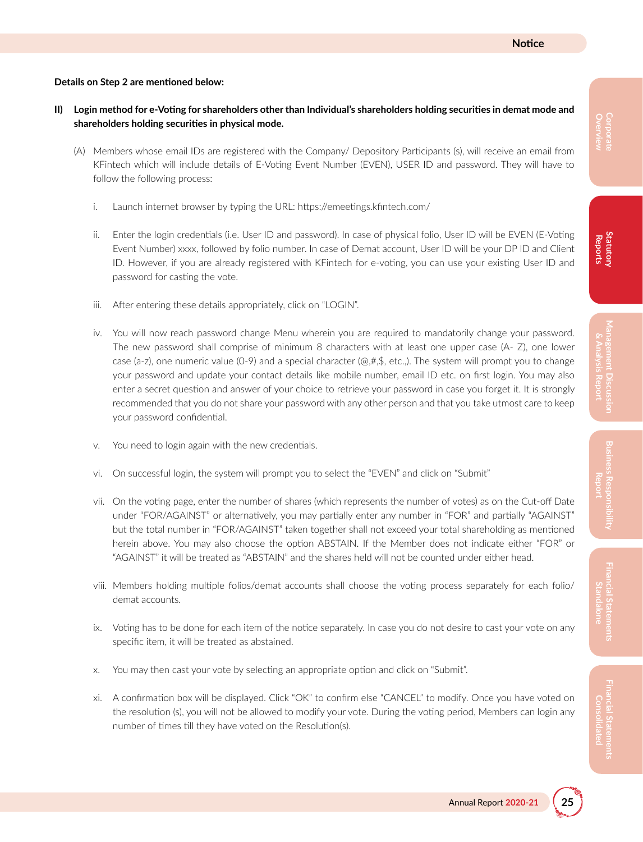#### **Details on Step 2 are mentioned below:**

- II) Login method for e-Voting for shareholders other than Individual's shareholders holding securities in demat mode and **shareholders holding securities in physical mode.**
	- (A) Members whose email IDs are registered with the Company/ Depository Participants (s), will receive an email from KFintech which will include details of E-Voting Event Number (EVEN), USER ID and password. They will have to follow the following process:
		- i. Launch internet browser by typing the URL: https://emeetings.kfintech.com/
		- ii. Enter the login credentials (i.e. User ID and password). In case of physical folio, User ID will be EVEN (E-Voting Event Number) xxxx, followed by folio number. In case of Demat account, User ID will be your DP ID and Client ID. However, if you are already registered with KFintech for e-voting, you can use your existing User ID and password for casting the vote.
		- iii. After entering these details appropriately, click on "LOGIN".
		- iv. You will now reach password change Menu wherein you are required to mandatorily change your password. The new password shall comprise of minimum 8 characters with at least one upper case (A- Z), one lower case (a-z), one numeric value (0-9) and a special character ( $@, #,$ \$, etc.,). The system will prompt you to change your password and update your contact details like mobile number, email ID etc. on first login. You may also enter a secret question and answer of your choice to retrieve your password in case you forget it. It is strongly recommended that you do not share your password with any other person and that you take utmost care to keep your password confidential.
		- v. You need to login again with the new credentials.
		- vi. On successful login, the system will prompt you to select the "EVEN" and click on "Submit"
		- vii. On the voting page, enter the number of shares (which represents the number of votes) as on the Cut-off Date under "FOR/AGAINST" or alternatively, you may partially enter any number in "FOR" and partially "AGAINST" but the total number in "FOR/AGAINST" taken together shall not exceed your total shareholding as mentioned herein above. You may also choose the option ABSTAIN. If the Member does not indicate either "FOR" or "AGAINST" it will be treated as "ABSTAIN" and the shares held will not be counted under either head.
		- viii. Members holding multiple folios/demat accounts shall choose the voting process separately for each folio/ demat accounts.
		- ix. Voting has to be done for each item of the notice separately. In case you do not desire to cast your vote on any specific item, it will be treated as abstained.
		- x. You may then cast your vote by selecting an appropriate option and click on "Submit".
		- xi. A confirmation box will be displayed. Click "OK" to confirm else "CANCEL" to modify. Once you have voted on the resolution (s), you will not be allowed to modify your vote. During the voting period, Members can login any number of times till they have voted on the Resolution(s).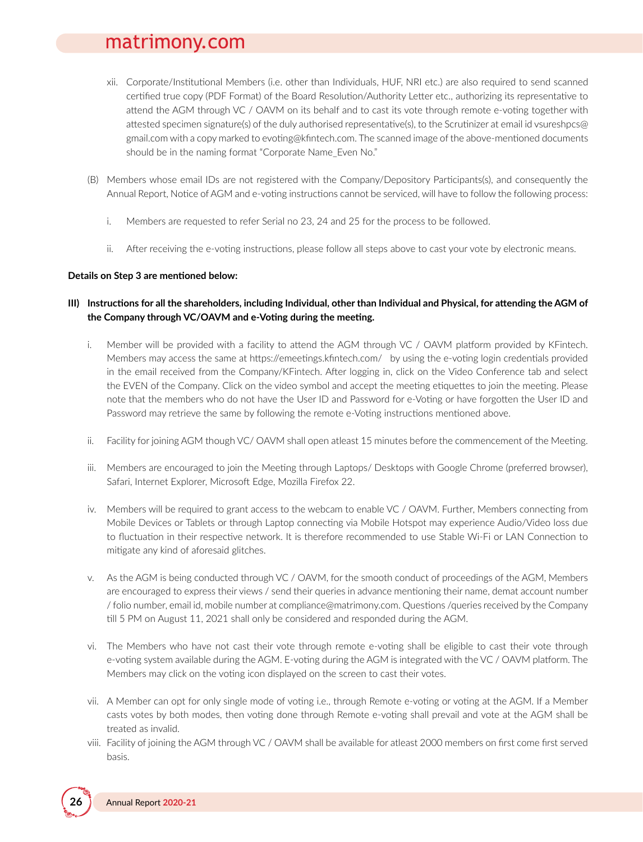- xii. Corporate/Institutional Members (i.e. other than Individuals, HUF, NRI etc.) are also required to send scanned certified true copy (PDF Format) of the Board Resolution/Authority Letter etc., authorizing its representative to attend the AGM through VC / OAVM on its behalf and to cast its vote through remote e-voting together with attested specimen signature(s) of the duly authorised representative(s), to the Scrutinizer at email id vsureshpcs@ gmail.com with a copy marked to evoting@kfintech.com. The scanned image of the above-mentioned documents should be in the naming format "Corporate Name\_Even No."
- (B) Members whose email IDs are not registered with the Company/Depository Participants(s), and consequently the Annual Report, Notice of AGM and e-voting instructions cannot be serviced, will have to follow the following process:
	- i. Members are requested to refer Serial no 23, 24 and 25 for the process to be followed.
	- ii. After receiving the e-voting instructions, please follow all steps above to cast your vote by electronic means.

#### **Details on Step 3 are mentioned below:**

#### III) Instructions for all the shareholders, including Individual, other than Individual and Physical, for attending the AGM of **the Company through VC/OAVM and e-Voting during the meeting.**

- i. Member will be provided with a facility to attend the AGM through VC / OAVM platform provided by KFintech. Members may access the same at https://emeetings.kfintech.com/ by using the e-voting login credentials provided in the email received from the Company/KFintech. After logging in, click on the Video Conference tab and select the EVEN of the Company. Click on the video symbol and accept the meeting etiquettes to join the meeting. Please note that the members who do not have the User ID and Password for e-Voting or have forgotten the User ID and Password may retrieve the same by following the remote e-Voting instructions mentioned above.
- ii. Facility for joining AGM though VC/ OAVM shall open atleast 15 minutes before the commencement of the Meeting.
- iii. Members are encouraged to join the Meeting through Laptops/ Desktops with Google Chrome (preferred browser), Safari, Internet Explorer, Microsoft Edge, Mozilla Firefox 22.
- iv. Members will be required to grant access to the webcam to enable VC / OAVM. Further, Members connecting from Mobile Devices or Tablets or through Laptop connecting via Mobile Hotspot may experience Audio/Video loss due to fluctuation in their respective network. It is therefore recommended to use Stable Wi-Fi or LAN Connection to mitigate any kind of aforesaid glitches.
- v. As the AGM is being conducted through VC / OAVM, for the smooth conduct of proceedings of the AGM, Members are encouraged to express their views / send their queries in advance mentioning their name, demat account number / folio number, email id, mobile number at compliance@matrimony.com. Questions /queries received by the Company till 5 PM on August 11, 2021 shall only be considered and responded during the AGM.
- vi. The Members who have not cast their vote through remote e-voting shall be eligible to cast their vote through e-voting system available during the AGM. E-voting during the AGM is integrated with the VC / OAVM platform. The Members may click on the voting icon displayed on the screen to cast their votes.
- vii. A Member can opt for only single mode of voting i.e., through Remote e-voting or voting at the AGM. If a Member casts votes by both modes, then voting done through Remote e-voting shall prevail and vote at the AGM shall be treated as invalid.
- viii. Facility of joining the AGM through VC / OAVM shall be available for atleast 2000 members on first come first served basis.